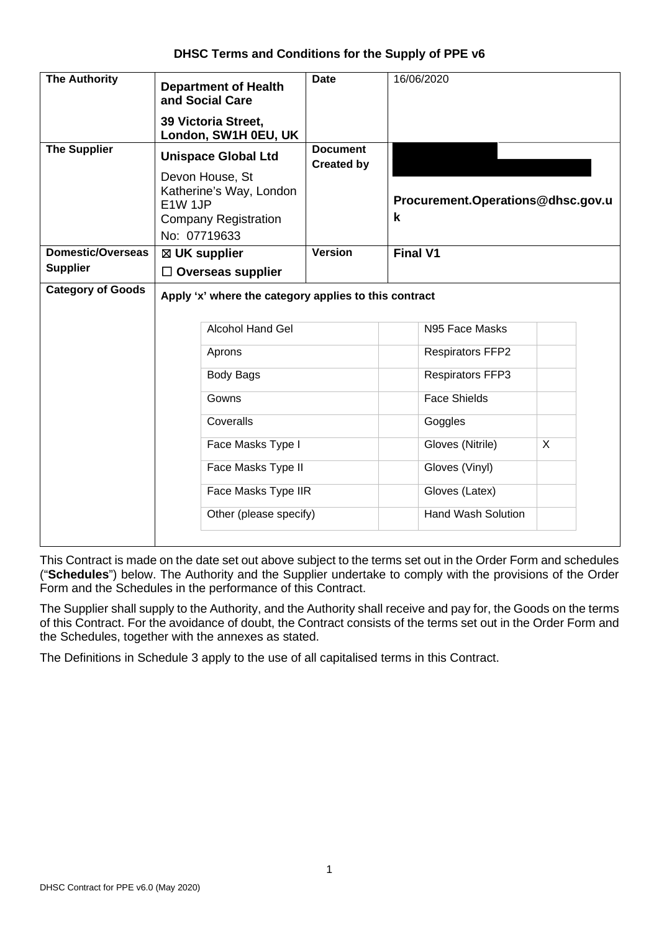## **DHSC Terms and Conditions for the Supply of PPE v6**

| <b>The Authority</b>     | <b>Department of Health</b><br>and Social Care                                                       | <b>Date</b>                          | 16/06/2020                             |  |  |  |  |  |
|--------------------------|------------------------------------------------------------------------------------------------------|--------------------------------------|----------------------------------------|--|--|--|--|--|
|                          | 39 Victoria Street,<br>London, SW1H 0EU, UK                                                          |                                      |                                        |  |  |  |  |  |
| <b>The Supplier</b>      | <b>Unispace Global Ltd</b>                                                                           | <b>Document</b><br><b>Created by</b> |                                        |  |  |  |  |  |
|                          | Devon House, St<br>Katherine's Way, London<br>E1W 1JP<br><b>Company Registration</b><br>No: 07719633 |                                      | Procurement.Operations@dhsc.gov.u<br>k |  |  |  |  |  |
| <b>Domestic/Overseas</b> | $\boxtimes$ UK supplier                                                                              | <b>Version</b>                       | <b>Final V1</b>                        |  |  |  |  |  |
| <b>Supplier</b>          | $\Box$ Overseas supplier                                                                             |                                      |                                        |  |  |  |  |  |
| <b>Category of Goods</b> | Apply 'x' where the category applies to this contract                                                |                                      |                                        |  |  |  |  |  |
|                          | <b>Alcohol Hand Gel</b>                                                                              |                                      | N95 Face Masks                         |  |  |  |  |  |
|                          | Aprons                                                                                               |                                      | <b>Respirators FFP2</b>                |  |  |  |  |  |
|                          | <b>Body Bags</b>                                                                                     |                                      | <b>Respirators FFP3</b>                |  |  |  |  |  |
|                          | Gowns                                                                                                |                                      | <b>Face Shields</b>                    |  |  |  |  |  |
|                          | Coveralls                                                                                            |                                      | Goggles                                |  |  |  |  |  |
|                          | Face Masks Type I                                                                                    |                                      | Gloves (Nitrile)<br>X                  |  |  |  |  |  |
|                          | Face Masks Type II                                                                                   |                                      | Gloves (Vinyl)                         |  |  |  |  |  |
|                          | Face Masks Type IIR                                                                                  |                                      | Gloves (Latex)                         |  |  |  |  |  |
|                          | Other (please specify)                                                                               |                                      | <b>Hand Wash Solution</b>              |  |  |  |  |  |
|                          |                                                                                                      |                                      |                                        |  |  |  |  |  |

This Contract is made on the date set out above subject to the terms set out in the Order Form and schedules ("**Schedules**") below. The Authority and the Supplier undertake to comply with the provisions of the Order Form and the Schedules in the performance of this Contract.

The Supplier shall supply to the Authority, and the Authority shall receive and pay for, the Goods on the terms of this Contract. For the avoidance of doubt, the Contract consists of the terms set out in the Order Form and the Schedules, together with the annexes as stated.

The Definitions in Schedule 3 apply to the use of all capitalised terms in this Contract.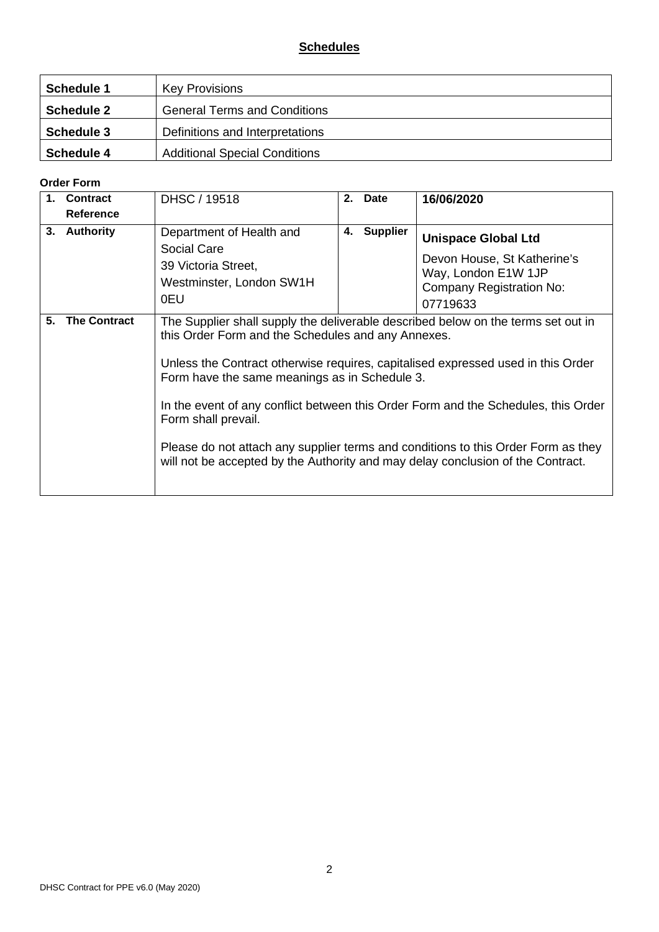# **Schedules**

| Schedule 1        | <b>Key Provisions</b>                |
|-------------------|--------------------------------------|
| <b>Schedule 2</b> | <b>General Terms and Conditions</b>  |
| <b>Schedule 3</b> | Definitions and Interpretations      |
| Schedule 4        | <b>Additional Special Conditions</b> |

#### **Order Form**

|    | <b>Contract</b>     | DHSC / 19518                                                                                                                                                                                                  | 2. | <b>Date</b>     | 16/06/2020                                                                                                                                                                                                                                                                                                                                       |
|----|---------------------|---------------------------------------------------------------------------------------------------------------------------------------------------------------------------------------------------------------|----|-----------------|--------------------------------------------------------------------------------------------------------------------------------------------------------------------------------------------------------------------------------------------------------------------------------------------------------------------------------------------------|
|    | Reference           |                                                                                                                                                                                                               |    |                 |                                                                                                                                                                                                                                                                                                                                                  |
| 3. | <b>Authority</b>    | Department of Health and<br>Social Care<br>39 Victoria Street,<br>Westminster, London SW1H<br>0EU                                                                                                             | 4. | <b>Supplier</b> | <b>Unispace Global Ltd</b><br>Devon House, St Katherine's<br>Way, London E1W 1JP<br>Company Registration No:<br>07719633                                                                                                                                                                                                                         |
| 5. | <b>The Contract</b> | this Order Form and the Schedules and any Annexes.<br>Form have the same meanings as in Schedule 3.<br>Form shall prevail.<br>will not be accepted by the Authority and may delay conclusion of the Contract. |    |                 | The Supplier shall supply the deliverable described below on the terms set out in<br>Unless the Contract otherwise requires, capitalised expressed used in this Order<br>In the event of any conflict between this Order Form and the Schedules, this Order<br>Please do not attach any supplier terms and conditions to this Order Form as they |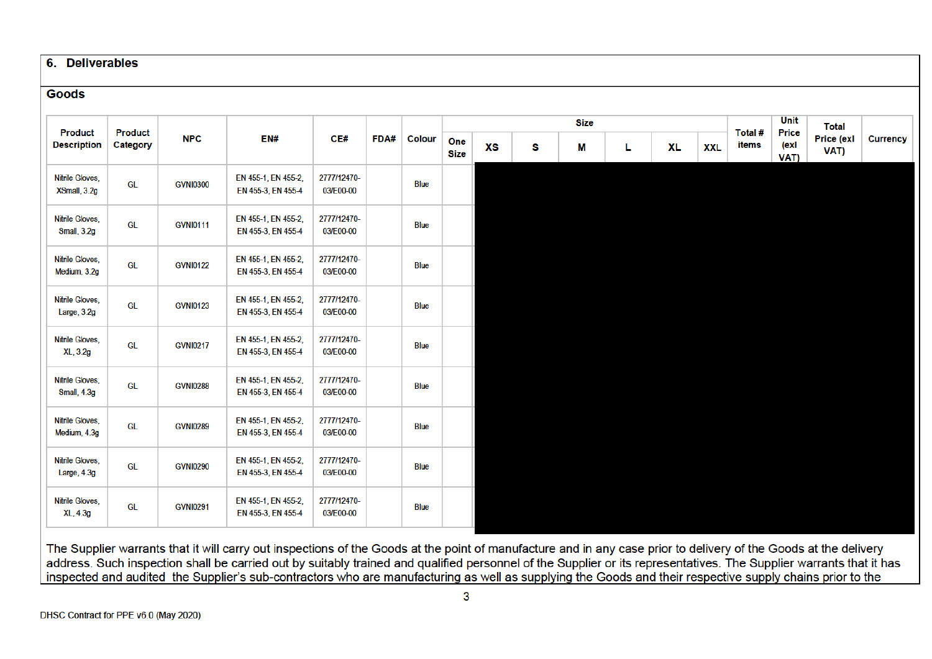#### 6. Deliverables

#### **Goods**

|                                      |                            |                 |                                           |                          |      |               |                    |           |   | <b>Size</b> |    |           |            |                  | Unit                  |                                    |                 |
|--------------------------------------|----------------------------|-----------------|-------------------------------------------|--------------------------|------|---------------|--------------------|-----------|---|-------------|----|-----------|------------|------------------|-----------------------|------------------------------------|-----------------|
| <b>Product</b><br><b>Description</b> | <b>Product</b><br>Category | <b>NPC</b>      | EN#                                       | CE#                      | FDA# | <b>Colour</b> | One<br><b>Size</b> | <b>XS</b> | s | М           | L. | <b>XL</b> | <b>XXL</b> | Total #<br>items | Price<br>(exl<br>VAT) | <b>Total</b><br>Price (exl<br>VAT) | <b>Currency</b> |
| Nitrile Gloves,<br>XSmall, 3.2g      | GL                         | <b>GVNI0300</b> | EN 455-1, EN 455-2,<br>EN 455-3, EN 455-4 | 2777/12470-<br>03/E00-00 |      | <b>Blue</b>   |                    |           |   |             |    |           |            |                  |                       |                                    |                 |
| Nitrile Gloves,<br>Small, 3.2g       | <b>GL</b>                  | <b>GVNI0111</b> | EN 455-1, EN 455-2,<br>EN 455-3, EN 455-4 | 2777/12470-<br>03/E00-00 |      | <b>Blue</b>   |                    |           |   |             |    |           |            |                  |                       |                                    |                 |
| Nitrile Gloves,<br>Medium, 3.2g      | <b>GL</b>                  | <b>GVNI0122</b> | EN 455-1, EN 455-2,<br>EN 455-3, EN 455-4 | 2777/12470-<br>03/E00-00 |      | <b>Blue</b>   |                    |           |   |             |    |           |            |                  |                       |                                    |                 |
| Nitrile Gloves,<br>Large, 3.2g       | <b>GL</b>                  | <b>GVNI0123</b> | EN 455-1, EN 455-2,<br>EN 455-3, EN 455-4 | 2777/12470-<br>03/E00-00 |      | <b>Blue</b>   |                    |           |   |             |    |           |            |                  |                       |                                    |                 |
| Nitrile Gloves,<br>XL, 3.2g          | <b>GL</b>                  | <b>GVNI0217</b> | EN 455-1, EN 455-2,<br>EN 455-3, EN 455-4 | 2777/12470-<br>03/E00-00 |      | <b>Blue</b>   |                    |           |   |             |    |           |            |                  |                       |                                    |                 |
| Nitrile Gloves,<br>Small, 4.3g       | GL                         | <b>GVNI0288</b> | EN 455-1, EN 455-2,<br>EN 455-3, EN 455-4 | 2777/12470-<br>03/E00-00 |      | <b>Blue</b>   |                    |           |   |             |    |           |            |                  |                       |                                    |                 |
| Nitrile Gloves,<br>Medium, 4.3g      | GL                         | <b>GVNI0289</b> | EN 455-1, EN 455-2,<br>EN 455-3, EN 455-4 | 2777/12470-<br>03/E00-00 |      | <b>Blue</b>   |                    |           |   |             |    |           |            |                  |                       |                                    |                 |
| Nitrile Gloves,<br>Large, $4.3g$     | GL                         | <b>GVNI0290</b> | EN 455-1, EN 455-2,<br>EN 455-3, EN 455-4 | 2777/12470-<br>03/E00-00 |      | <b>Blue</b>   |                    |           |   |             |    |           |            |                  |                       |                                    |                 |
| Nitrile Gloves,<br>XL, 4.3g          | GL                         | <b>GVNI0291</b> | EN 455-1, EN 455-2,<br>EN 455-3, EN 455-4 | 2777/12470-<br>03/E00-00 |      | <b>Blue</b>   |                    |           |   |             |    |           |            |                  |                       |                                    |                 |

The Supplier warrants that it will carry out inspections of the Goods at the point of manufacture and in any case prior to delivery of the Goods at the delivery address. Such inspection shall be carried out by suitably trained and qualified personnel of the Supplier or its representatives. The Supplier warrants that it has inspected and audited the Supplier's sub-contractors who are manufacturing as well as supplying the Goods and their respective supply chains prior to the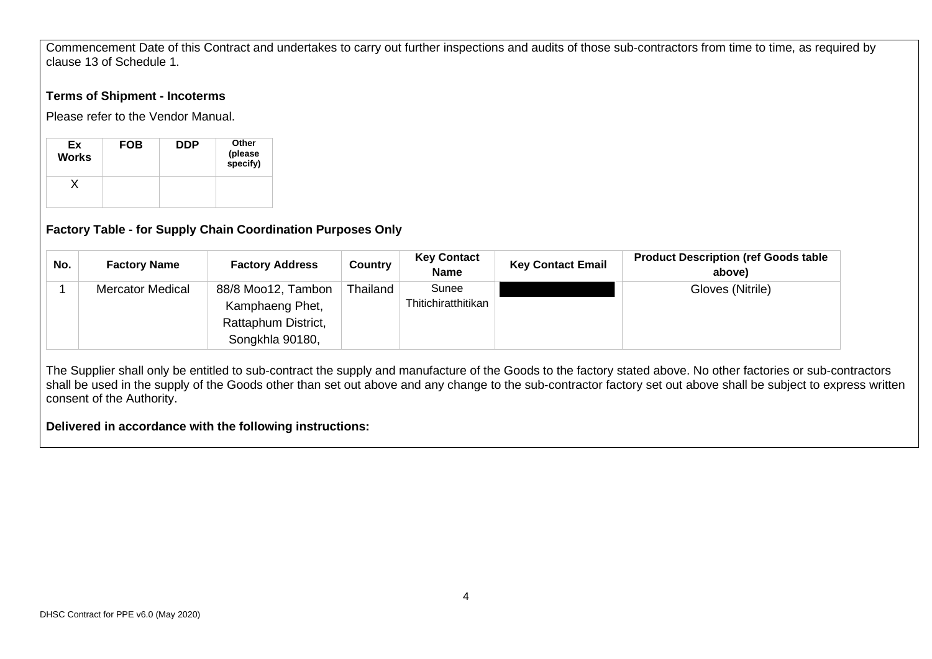Commencement Date of this Contract and undertakes to carry out further inspections and audits of those sub-contractors from time to time, as required by clause 13 of Schedule 1.

#### **Terms of Shipment - Incoterms**

Please refer to the Vendor Manual.

| Ex<br><b>Works</b> | <b>FOB</b> | <b>DDP</b> | Other<br>(please<br>specify) |
|--------------------|------------|------------|------------------------------|
|                    |            |            |                              |

# **Factory Table - for Supply Chain Coordination Purposes Only**

| No. | <b>Factory Name</b>     | <b>Factory Address</b>                                                          | Country  | <b>Key Contact</b><br><b>Name</b> | <b>Key Contact Email</b> | <b>Product Description (ref Goods table)</b><br>above) |
|-----|-------------------------|---------------------------------------------------------------------------------|----------|-----------------------------------|--------------------------|--------------------------------------------------------|
|     | <b>Mercator Medical</b> | 88/8 Moo12, Tambon<br>Kamphaeng Phet,<br>Rattaphum District,<br>Songkhla 90180, | Thailand | Sunee<br>Thitichiratthitikan      |                          | Gloves (Nitrile)                                       |

The Supplier shall only be entitled to sub-contract the supply and manufacture of the Goods to the factory stated above. No other factories or sub-contractors shall be used in the supply of the Goods other than set out above and any change to the sub-contractor factory set out above shall be subject to express written consent of the Authority.

## **Delivered in accordance with the following instructions:**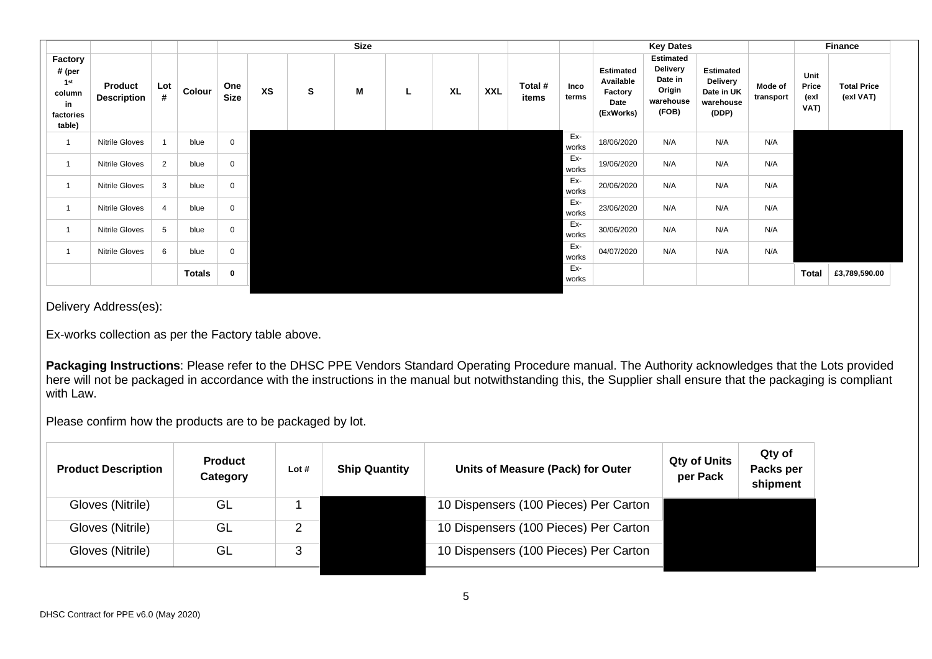|                                                                             |                               |                |               |                    |           |   | <b>Size</b> |   |           |            |                  |               |                                                               | <b>Key Dates</b>                                                               |                                                                         |                      |                               | <b>Finance</b>                  |  |
|-----------------------------------------------------------------------------|-------------------------------|----------------|---------------|--------------------|-----------|---|-------------|---|-----------|------------|------------------|---------------|---------------------------------------------------------------|--------------------------------------------------------------------------------|-------------------------------------------------------------------------|----------------------|-------------------------------|---------------------------------|--|
| Factory<br># (per<br>1 <sup>st</sup><br>column<br>in<br>factories<br>table) | Product<br><b>Description</b> | Lot<br>#       | Colour        | One<br><b>Size</b> | <b>XS</b> | s | M           | ч | <b>XL</b> | <b>XXL</b> | Total #<br>items | Inco<br>terms | <b>Estimated</b><br>Available<br>Factory<br>Date<br>(ExWorks) | <b>Estimated</b><br><b>Delivery</b><br>Date in<br>Origin<br>warehouse<br>(FOB) | <b>Estimated</b><br><b>Delivery</b><br>Date in UK<br>warehouse<br>(DDP) | Mode of<br>transport | Unit<br>Price<br>(exl<br>VAT) | <b>Total Price</b><br>(exl VAT) |  |
| $\overline{1}$                                                              | <b>Nitrile Gloves</b>         | $\overline{1}$ | blue          | 0                  |           |   |             |   |           |            |                  | Ex-<br>works  | 18/06/2020                                                    | N/A                                                                            | N/A                                                                     | N/A                  |                               |                                 |  |
|                                                                             | Nitrile Gloves                | 2              | blue          | 0                  |           |   |             |   |           |            |                  | Ex-<br>works  | 19/06/2020                                                    | N/A                                                                            | N/A                                                                     | N/A                  |                               |                                 |  |
|                                                                             | <b>Nitrile Gloves</b>         | 3              | blue          | $\mathbf 0$        |           |   |             |   |           |            |                  | Ex-<br>works  | 20/06/2020                                                    | N/A                                                                            | N/A                                                                     | N/A                  |                               |                                 |  |
|                                                                             | <b>Nitrile Gloves</b>         | $\overline{4}$ | blue          | 0                  |           |   |             |   |           |            |                  | Ex-<br>works  | 23/06/2020                                                    | N/A                                                                            | N/A                                                                     | N/A                  |                               |                                 |  |
|                                                                             | <b>Nitrile Gloves</b>         | 5              | blue          | 0                  |           |   |             |   |           |            |                  | Ex-<br>works  | 30/06/2020                                                    | N/A                                                                            | N/A                                                                     | N/A                  |                               |                                 |  |
| 1                                                                           | <b>Nitrile Gloves</b>         | 6              | blue          | 0                  |           |   |             |   |           |            |                  | Ex-<br>works  | 04/07/2020                                                    | N/A                                                                            | N/A                                                                     | N/A                  |                               |                                 |  |
|                                                                             |                               |                | <b>Totals</b> | 0                  |           |   |             |   |           |            |                  | Ex-<br>works  |                                                               |                                                                                |                                                                         |                      | <b>Total</b>                  | £3,789,590.00                   |  |

Delivery Address(es):

Ex-works collection as per the Factory table above.

**Packaging Instructions**: Please refer to the DHSC PPE Vendors Standard Operating Procedure manual. The Authority acknowledges that the Lots provided here will not be packaged in accordance with the instructions in the manual but notwithstanding this, the Supplier shall ensure that the packaging is compliant with Law.

Please confirm how the products are to be packaged by lot.

| <b>Product Description</b> | <b>Product</b><br>Category | Lot# | <b>Ship Quantity</b> | Units of Measure (Pack) for Outer     | <b>Qty of Units</b><br>per Pack | Qty of<br>Packs per<br>shipment |
|----------------------------|----------------------------|------|----------------------|---------------------------------------|---------------------------------|---------------------------------|
| Gloves (Nitrile)           | GL                         |      |                      | 10 Dispensers (100 Pieces) Per Carton |                                 |                                 |
| Gloves (Nitrile)           | GL                         |      |                      | 10 Dispensers (100 Pieces) Per Carton |                                 |                                 |
| Gloves (Nitrile)           | GL                         | 3    |                      | 10 Dispensers (100 Pieces) Per Carton |                                 |                                 |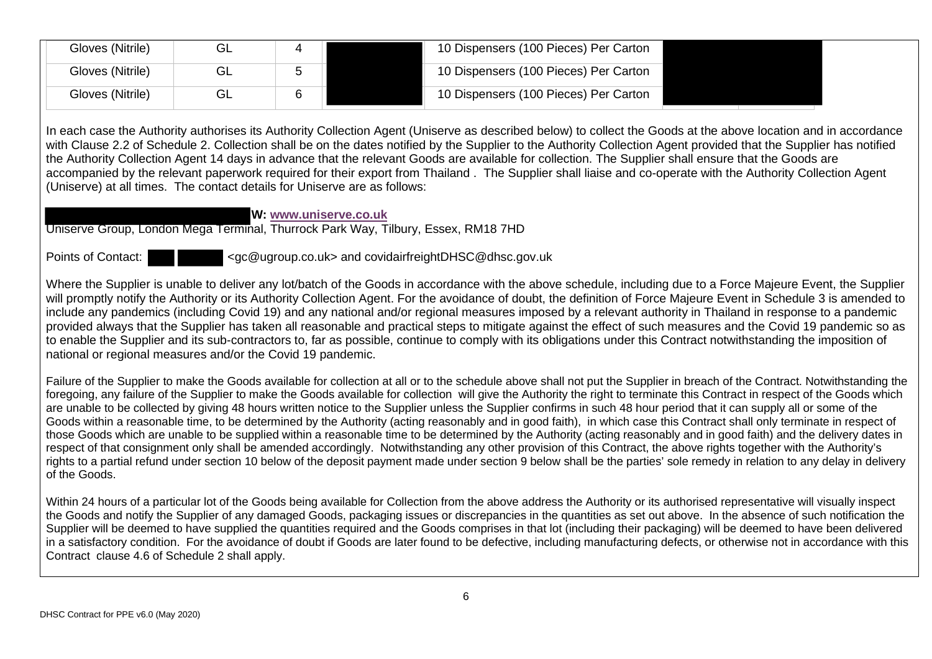| Gloves (Nitrile) |  | 10 Dispensers (100 Pieces) Per Carton |  |
|------------------|--|---------------------------------------|--|
| Gloves (Nitrile) |  | 10 Dispensers (100 Pieces) Per Carton |  |
| Gloves (Nitrile) |  | 10 Dispensers (100 Pieces) Per Carton |  |

In each case the Authority authorises its Authority Collection Agent (Uniserve as described below) to collect the Goods at the above location and in accordance with Clause 2.2 of Schedule 2. Collection shall be on the dates notified by the Supplier to the Authority Collection Agent provided that the Supplier has notified the Authority Collection Agent 14 days in advance that the relevant Goods are available for collection. The Supplier shall ensure that the Goods are accompanied by the relevant paperwork required for their export from Thailand . The Supplier shall liaise and co-operate with the Authority Collection Agent (Uniserve) at all times. The contact details for Uniserve are as follows:

**W: www.uniserve.co.uk**

Uniserve Group, London Mega Terminal, Thurrock Park Way, Tilbury, Essex, RM18 7HD

Points of Contact:  $\langle qc@uqroup.co.uk\rangle$  and covidairfreightDHSC@dhsc.gov.uk

Where the Supplier is unable to deliver any lot/batch of the Goods in accordance with the above schedule, including due to a Force Majeure Event, the Supplier will promptly notify the Authority or its Authority Collection Agent. For the avoidance of doubt, the definition of Force Majeure Event in Schedule 3 is amended to include any pandemics (including Covid 19) and any national and/or regional measures imposed by a relevant authority in Thailand in response to a pandemic provided always that the Supplier has taken all reasonable and practical steps to mitigate against the effect of such measures and the Covid 19 pandemic so as to enable the Supplier and its sub-contractors to, far as possible, continue to comply with its obligations under this Contract notwithstanding the imposition of national or regional measures and/or the Covid 19 pandemic.

Failure of the Supplier to make the Goods available for collection at all or to the schedule above shall not put the Supplier in breach of the Contract. Notwithstanding the foregoing, any failure of the Supplier to make the Goods available for collection will give the Authority the right to terminate this Contract in respect of the Goods which are unable to be collected by giving 48 hours written notice to the Supplier unless the Supplier confirms in such 48 hour period that it can supply all or some of the Goods within a reasonable time, to be determined by the Authority (acting reasonably and in good faith), in which case this Contract shall only terminate in respect of those Goods which are unable to be supplied within a reasonable time to be determined by the Authority (acting reasonably and in good faith) and the delivery dates in respect of that consignment only shall be amended accordingly. Notwithstanding any other provision of this Contract, the above rights together with the Authority's rights to a partial refund under section 10 below of the deposit payment made under section 9 below shall be the parties' sole remedy in relation to any delay in delivery of the Goods.

Within 24 hours of a particular lot of the Goods being available for Collection from the above address the Authority or its authorised representative will visually inspect the Goods and notify the Supplier of any damaged Goods, packaging issues or discrepancies in the quantities as set out above. In the absence of such notification the Supplier will be deemed to have supplied the quantities required and the Goods comprises in that lot (including their packaging) will be deemed to have been delivered in a satisfactory condition. For the avoidance of doubt if Goods are later found to be defective, including manufacturing defects, or otherwise not in accordance with this Contract clause 4.6 of Schedule 2 shall apply.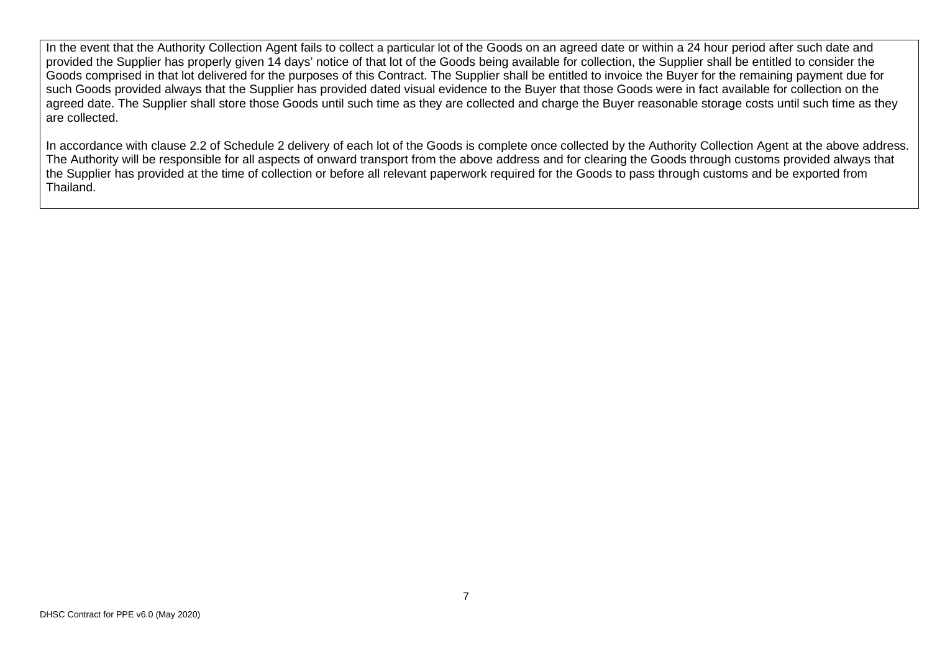In the event that the Authority Collection Agent fails to collect a particular lot of the Goods on an agreed date or within a 24 hour period after such date and provided the Supplier has properly given 14 days' notice of that lot of the Goods being available for collection, the Supplier shall be entitled to consider the Goods comprised in that lot delivered for the purposes of this Contract. The Supplier shall be entitled to invoice the Buyer for the remaining payment due for such Goods provided always that the Supplier has provided dated visual evidence to the Buyer that those Goods were in fact available for collection on the agreed date. The Supplier shall store those Goods until such time as they are collected and charge the Buyer reasonable storage costs until such time as they are collected.

In accordance with clause 2.2 of Schedule 2 delivery of each lot of the Goods is complete once collected by the Authority Collection Agent at the above address. The Authority will be responsible for all aspects of onward transport from the above address and for clearing the Goods through customs provided always that the Supplier has provided at the time of collection or before all relevant paperwork required for the Goods to pass through customs and be exported from Thailand.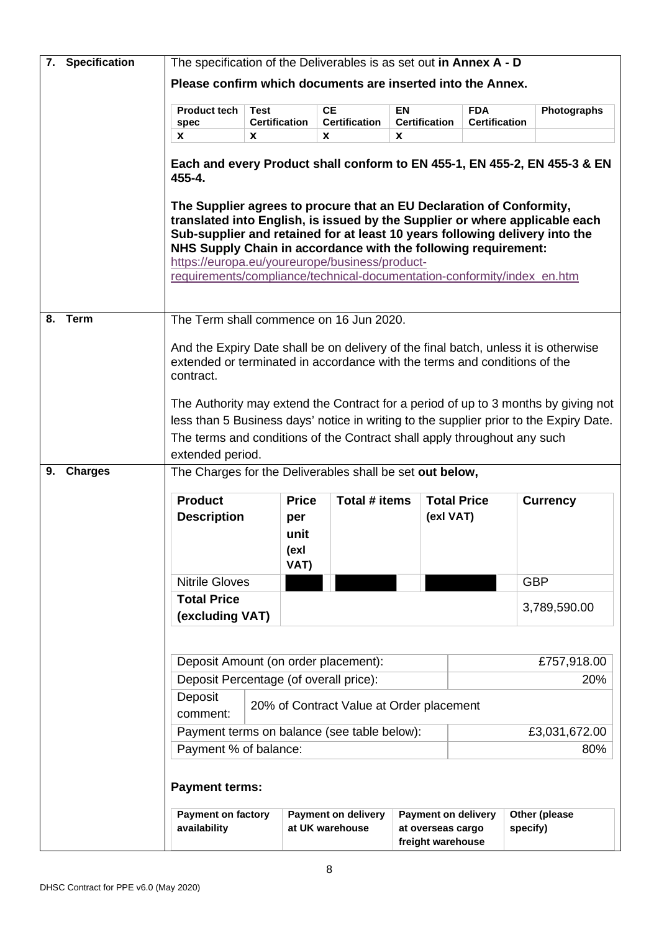|    | 7. Specification | The specification of the Deliverables is as set out in Annex A - D                                                                                                                                                                                                                                                                                                                                                                |                           |                                     |                                               |                                        |                                 |          |                                                                                                                                                                              |
|----|------------------|-----------------------------------------------------------------------------------------------------------------------------------------------------------------------------------------------------------------------------------------------------------------------------------------------------------------------------------------------------------------------------------------------------------------------------------|---------------------------|-------------------------------------|-----------------------------------------------|----------------------------------------|---------------------------------|----------|------------------------------------------------------------------------------------------------------------------------------------------------------------------------------|
|    |                  | Please confirm which documents are inserted into the Annex.                                                                                                                                                                                                                                                                                                                                                                       |                           |                                     |                                               |                                        |                                 |          |                                                                                                                                                                              |
|    |                  | <b>Product tech</b>                                                                                                                                                                                                                                                                                                                                                                                                               | <b>Test</b>               |                                     | <b>CE</b>                                     | EN                                     | <b>FDA</b>                      |          | Photographs                                                                                                                                                                  |
|    |                  | spec<br>X                                                                                                                                                                                                                                                                                                                                                                                                                         | <b>Certification</b><br>X |                                     | <b>Certification</b><br><b>X</b>              | <b>Certification</b><br>X              | <b>Certification</b>            |          |                                                                                                                                                                              |
|    |                  |                                                                                                                                                                                                                                                                                                                                                                                                                                   |                           |                                     |                                               |                                        |                                 |          |                                                                                                                                                                              |
|    |                  | 455-4.                                                                                                                                                                                                                                                                                                                                                                                                                            |                           |                                     |                                               |                                        |                                 |          | Each and every Product shall conform to EN 455-1, EN 455-2, EN 455-3 & EN                                                                                                    |
|    |                  | The Supplier agrees to procure that an EU Declaration of Conformity,<br>translated into English, is issued by the Supplier or where applicable each<br>Sub-supplier and retained for at least 10 years following delivery into the<br>NHS Supply Chain in accordance with the following requirement:<br>https://europa.eu/youreurope/business/product-<br>requirements/compliance/technical-documentation-conformity/index_en.htm |                           |                                     |                                               |                                        |                                 |          |                                                                                                                                                                              |
| 8. | <b>Term</b>      | The Term shall commence on 16 Jun 2020.                                                                                                                                                                                                                                                                                                                                                                                           |                           |                                     |                                               |                                        |                                 |          |                                                                                                                                                                              |
|    |                  |                                                                                                                                                                                                                                                                                                                                                                                                                                   |                           |                                     |                                               |                                        |                                 |          |                                                                                                                                                                              |
|    |                  | And the Expiry Date shall be on delivery of the final batch, unless it is otherwise<br>extended or terminated in accordance with the terms and conditions of the<br>contract.                                                                                                                                                                                                                                                     |                           |                                     |                                               |                                        |                                 |          |                                                                                                                                                                              |
|    |                  | The terms and conditions of the Contract shall apply throughout any such<br>extended period.                                                                                                                                                                                                                                                                                                                                      |                           |                                     |                                               |                                        |                                 |          | The Authority may extend the Contract for a period of up to 3 months by giving not<br>less than 5 Business days' notice in writing to the supplier prior to the Expiry Date. |
| 9. | <b>Charges</b>   | The Charges for the Deliverables shall be set out below,                                                                                                                                                                                                                                                                                                                                                                          |                           |                                     |                                               |                                        |                                 |          |                                                                                                                                                                              |
|    |                  |                                                                                                                                                                                                                                                                                                                                                                                                                                   |                           |                                     |                                               |                                        |                                 |          |                                                                                                                                                                              |
|    |                  | <b>Product</b><br><b>Description</b>                                                                                                                                                                                                                                                                                                                                                                                              |                           | <b>Price</b><br>per<br>unit<br>(exl | Total # items                                 |                                        | <b>Total Price</b><br>(exl VAT) |          | <b>Currency</b>                                                                                                                                                              |
|    |                  |                                                                                                                                                                                                                                                                                                                                                                                                                                   |                           | VAT)                                |                                               |                                        |                                 |          |                                                                                                                                                                              |
|    |                  | <b>Nitrile Gloves</b>                                                                                                                                                                                                                                                                                                                                                                                                             |                           |                                     |                                               |                                        |                                 |          | <b>GBP</b>                                                                                                                                                                   |
|    |                  | <b>Total Price</b><br>(excluding VAT)                                                                                                                                                                                                                                                                                                                                                                                             |                           |                                     |                                               |                                        |                                 |          | 3,789,590.00                                                                                                                                                                 |
|    |                  |                                                                                                                                                                                                                                                                                                                                                                                                                                   |                           |                                     |                                               |                                        |                                 |          |                                                                                                                                                                              |
|    |                  | Deposit Amount (on order placement):                                                                                                                                                                                                                                                                                                                                                                                              |                           |                                     |                                               |                                        |                                 |          | £757,918.00                                                                                                                                                                  |
|    |                  | Deposit Percentage (of overall price):                                                                                                                                                                                                                                                                                                                                                                                            |                           |                                     |                                               |                                        |                                 |          | 20%                                                                                                                                                                          |
|    |                  | Deposit<br>comment:                                                                                                                                                                                                                                                                                                                                                                                                               |                           |                                     | 20% of Contract Value at Order placement      |                                        |                                 |          |                                                                                                                                                                              |
|    |                  | Payment terms on balance (see table below):                                                                                                                                                                                                                                                                                                                                                                                       |                           |                                     |                                               |                                        |                                 |          | £3,031,672.00                                                                                                                                                                |
|    |                  | Payment % of balance:                                                                                                                                                                                                                                                                                                                                                                                                             |                           |                                     |                                               |                                        |                                 |          | 80%                                                                                                                                                                          |
|    |                  | <b>Payment terms:</b>                                                                                                                                                                                                                                                                                                                                                                                                             |                           |                                     |                                               |                                        |                                 |          |                                                                                                                                                                              |
|    |                  | <b>Payment on factory</b><br>availability                                                                                                                                                                                                                                                                                                                                                                                         |                           |                                     | <b>Payment on delivery</b><br>at UK warehouse | at overseas cargo<br>freight warehouse | <b>Payment on delivery</b>      | specify) | Other (please                                                                                                                                                                |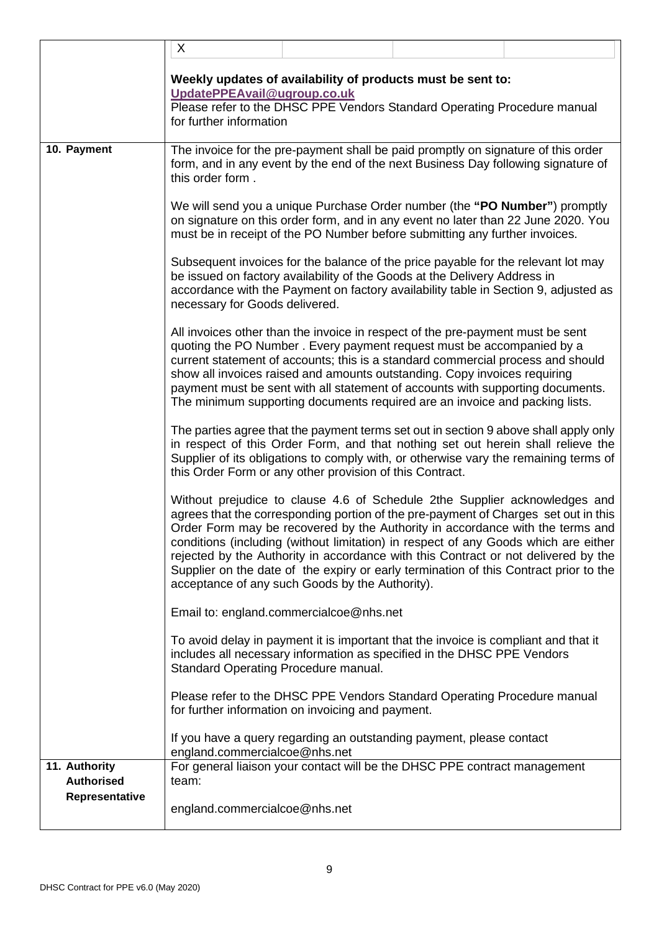|                                    | X                                                      |                                                                                                                                                                                                                                                                                                                                                                                                                                                                                          |                                                                                                                                                                                                                                                                                                                                                                                                                                                                                                                          |
|------------------------------------|--------------------------------------------------------|------------------------------------------------------------------------------------------------------------------------------------------------------------------------------------------------------------------------------------------------------------------------------------------------------------------------------------------------------------------------------------------------------------------------------------------------------------------------------------------|--------------------------------------------------------------------------------------------------------------------------------------------------------------------------------------------------------------------------------------------------------------------------------------------------------------------------------------------------------------------------------------------------------------------------------------------------------------------------------------------------------------------------|
|                                    | UpdatePPEAvail@ugroup.co.uk<br>for further information | Weekly updates of availability of products must be sent to:<br>Please refer to the DHSC PPE Vendors Standard Operating Procedure manual                                                                                                                                                                                                                                                                                                                                                  |                                                                                                                                                                                                                                                                                                                                                                                                                                                                                                                          |
| 10. Payment                        | this order form.                                       | The invoice for the pre-payment shall be paid promptly on signature of this order<br>form, and in any event by the end of the next Business Day following signature of                                                                                                                                                                                                                                                                                                                   |                                                                                                                                                                                                                                                                                                                                                                                                                                                                                                                          |
|                                    |                                                        | We will send you a unique Purchase Order number (the "PO Number") promptly<br>on signature on this order form, and in any event no later than 22 June 2020. You<br>must be in receipt of the PO Number before submitting any further invoices.                                                                                                                                                                                                                                           |                                                                                                                                                                                                                                                                                                                                                                                                                                                                                                                          |
|                                    | necessary for Goods delivered.                         | Subsequent invoices for the balance of the price payable for the relevant lot may<br>be issued on factory availability of the Goods at the Delivery Address in                                                                                                                                                                                                                                                                                                                           | accordance with the Payment on factory availability table in Section 9, adjusted as                                                                                                                                                                                                                                                                                                                                                                                                                                      |
|                                    |                                                        | All invoices other than the invoice in respect of the pre-payment must be sent<br>quoting the PO Number. Every payment request must be accompanied by a<br>current statement of accounts; this is a standard commercial process and should<br>show all invoices raised and amounts outstanding. Copy invoices requiring<br>payment must be sent with all statement of accounts with supporting documents.<br>The minimum supporting documents required are an invoice and packing lists. |                                                                                                                                                                                                                                                                                                                                                                                                                                                                                                                          |
|                                    |                                                        | this Order Form or any other provision of this Contract.                                                                                                                                                                                                                                                                                                                                                                                                                                 | The parties agree that the payment terms set out in section 9 above shall apply only<br>in respect of this Order Form, and that nothing set out herein shall relieve the<br>Supplier of its obligations to comply with, or otherwise vary the remaining terms of                                                                                                                                                                                                                                                         |
|                                    |                                                        | acceptance of any such Goods by the Authority).                                                                                                                                                                                                                                                                                                                                                                                                                                          | Without prejudice to clause 4.6 of Schedule 2the Supplier acknowledges and<br>agrees that the corresponding portion of the pre-payment of Charges set out in this<br>Order Form may be recovered by the Authority in accordance with the terms and<br>conditions (including (without limitation) in respect of any Goods which are either<br>rejected by the Authority in accordance with this Contract or not delivered by the<br>Supplier on the date of the expiry or early termination of this Contract prior to the |
|                                    |                                                        | Email to: england.commercialcoe@nhs.net                                                                                                                                                                                                                                                                                                                                                                                                                                                  |                                                                                                                                                                                                                                                                                                                                                                                                                                                                                                                          |
|                                    | Standard Operating Procedure manual.                   | To avoid delay in payment it is important that the invoice is compliant and that it<br>includes all necessary information as specified in the DHSC PPE Vendors                                                                                                                                                                                                                                                                                                                           |                                                                                                                                                                                                                                                                                                                                                                                                                                                                                                                          |
|                                    |                                                        | Please refer to the DHSC PPE Vendors Standard Operating Procedure manual<br>for further information on invoicing and payment.                                                                                                                                                                                                                                                                                                                                                            |                                                                                                                                                                                                                                                                                                                                                                                                                                                                                                                          |
|                                    | england.commercialcoe@nhs.net                          | If you have a query regarding an outstanding payment, please contact                                                                                                                                                                                                                                                                                                                                                                                                                     |                                                                                                                                                                                                                                                                                                                                                                                                                                                                                                                          |
| 11. Authority<br><b>Authorised</b> | team:                                                  | For general liaison your contact will be the DHSC PPE contract management                                                                                                                                                                                                                                                                                                                                                                                                                |                                                                                                                                                                                                                                                                                                                                                                                                                                                                                                                          |
| Representative                     | england.commercialcoe@nhs.net                          |                                                                                                                                                                                                                                                                                                                                                                                                                                                                                          |                                                                                                                                                                                                                                                                                                                                                                                                                                                                                                                          |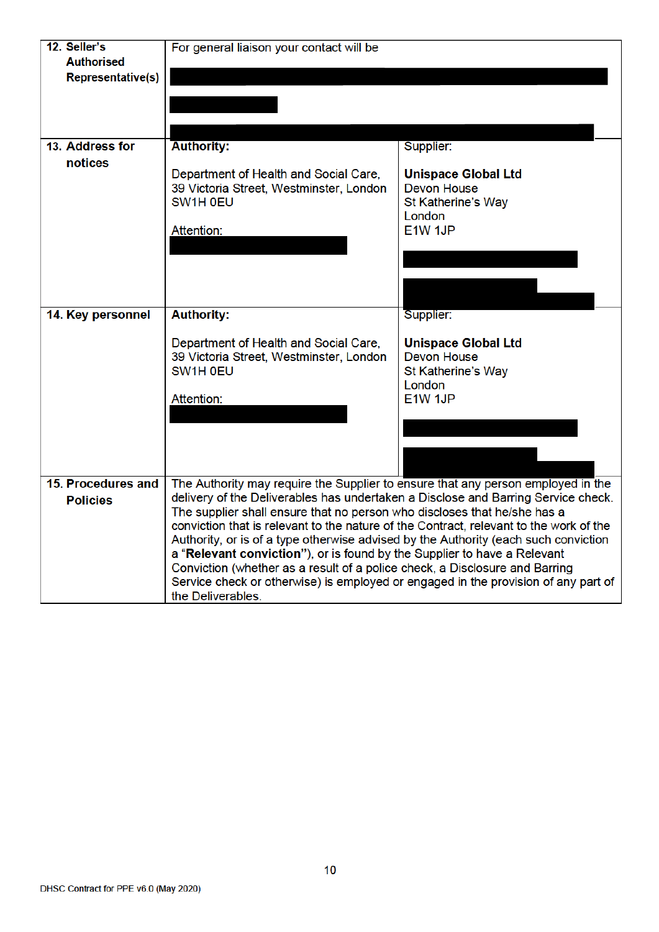| 12. Seller's             | For general liaison your contact will be                                                                                                                                      |                            |  |  |  |  |  |  |
|--------------------------|-------------------------------------------------------------------------------------------------------------------------------------------------------------------------------|----------------------------|--|--|--|--|--|--|
| <b>Authorised</b>        |                                                                                                                                                                               |                            |  |  |  |  |  |  |
| <b>Representative(s)</b> |                                                                                                                                                                               |                            |  |  |  |  |  |  |
|                          |                                                                                                                                                                               |                            |  |  |  |  |  |  |
|                          |                                                                                                                                                                               |                            |  |  |  |  |  |  |
|                          |                                                                                                                                                                               |                            |  |  |  |  |  |  |
|                          |                                                                                                                                                                               |                            |  |  |  |  |  |  |
| 13. Address for          | <b>Authority:</b>                                                                                                                                                             | Supplier:                  |  |  |  |  |  |  |
| notices                  |                                                                                                                                                                               |                            |  |  |  |  |  |  |
|                          | Department of Health and Social Care,                                                                                                                                         | <b>Unispace Global Ltd</b> |  |  |  |  |  |  |
|                          | 39 Victoria Street, Westminster, London                                                                                                                                       | <b>Devon House</b>         |  |  |  |  |  |  |
|                          | SW1H 0EU                                                                                                                                                                      | St Katherine's Way         |  |  |  |  |  |  |
|                          |                                                                                                                                                                               | London                     |  |  |  |  |  |  |
|                          | Attention:                                                                                                                                                                    | E1W 1JP                    |  |  |  |  |  |  |
|                          |                                                                                                                                                                               |                            |  |  |  |  |  |  |
|                          |                                                                                                                                                                               |                            |  |  |  |  |  |  |
|                          |                                                                                                                                                                               |                            |  |  |  |  |  |  |
|                          |                                                                                                                                                                               |                            |  |  |  |  |  |  |
|                          |                                                                                                                                                                               |                            |  |  |  |  |  |  |
| 14. Key personnel        | <b>Authority:</b>                                                                                                                                                             | Supplier:                  |  |  |  |  |  |  |
|                          |                                                                                                                                                                               |                            |  |  |  |  |  |  |
|                          | Department of Health and Social Care,                                                                                                                                         | <b>Unispace Global Ltd</b> |  |  |  |  |  |  |
|                          | 39 Victoria Street, Westminster, London                                                                                                                                       | <b>Devon House</b>         |  |  |  |  |  |  |
|                          | SW1H 0EU                                                                                                                                                                      | St Katherine's Way         |  |  |  |  |  |  |
|                          |                                                                                                                                                                               | London                     |  |  |  |  |  |  |
|                          | Attention:                                                                                                                                                                    | E1W 1JP                    |  |  |  |  |  |  |
|                          |                                                                                                                                                                               |                            |  |  |  |  |  |  |
|                          |                                                                                                                                                                               |                            |  |  |  |  |  |  |
|                          |                                                                                                                                                                               |                            |  |  |  |  |  |  |
|                          |                                                                                                                                                                               |                            |  |  |  |  |  |  |
| 15. Procedures and       | The Authority may require the Supplier to ensure that any person employed in the                                                                                              |                            |  |  |  |  |  |  |
|                          | delivery of the Deliverables has undertaken a Disclose and Barring Service check.                                                                                             |                            |  |  |  |  |  |  |
| <b>Policies</b>          | The supplier shall ensure that no person who discloses that he/she has a                                                                                                      |                            |  |  |  |  |  |  |
|                          |                                                                                                                                                                               |                            |  |  |  |  |  |  |
|                          | conviction that is relevant to the nature of the Contract, relevant to the work of the<br>Authority, or is of a type otherwise advised by the Authority (each such conviction |                            |  |  |  |  |  |  |
|                          | a "Relevant conviction"), or is found by the Supplier to have a Relevant                                                                                                      |                            |  |  |  |  |  |  |
|                          | Conviction (whether as a result of a police check, a Disclosure and Barring                                                                                                   |                            |  |  |  |  |  |  |
|                          | Service check or otherwise) is employed or engaged in the provision of any part of                                                                                            |                            |  |  |  |  |  |  |
|                          | the Deliverables.                                                                                                                                                             |                            |  |  |  |  |  |  |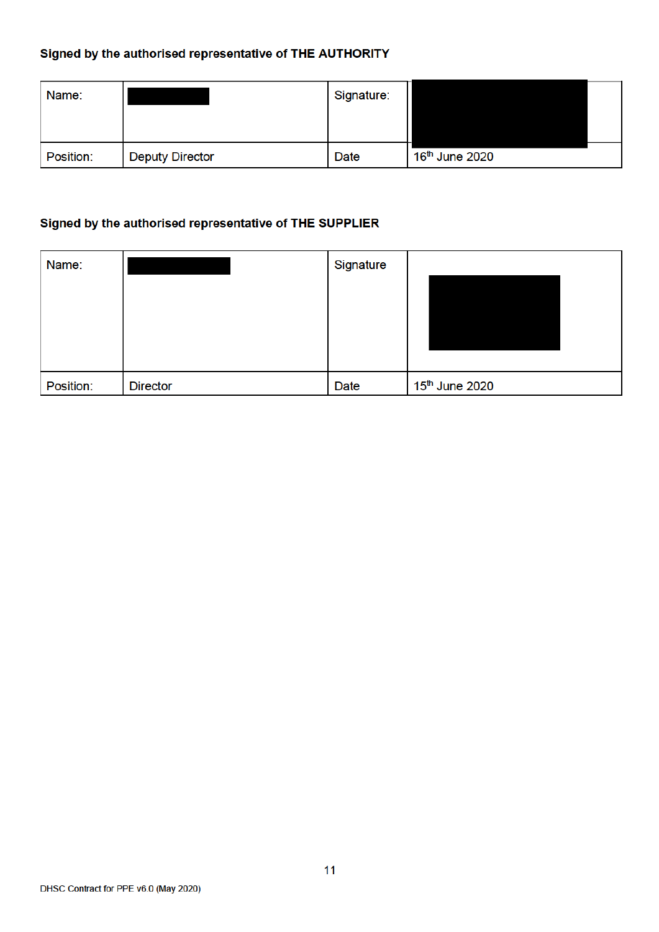# Signed by the authorised representative of THE AUTHORITY

| Name:     |                        | Signature: |                            |  |
|-----------|------------------------|------------|----------------------------|--|
| Position: | <b>Deputy Director</b> | Date       | 16 <sup>th</sup> June 2020 |  |

# Signed by the authorised representative of THE SUPPLIER

| Name:     |                 | Signature |                            |
|-----------|-----------------|-----------|----------------------------|
|           |                 |           |                            |
|           |                 |           |                            |
|           |                 |           |                            |
|           |                 |           |                            |
| Position: | <b>Director</b> | Date      | 15 <sup>th</sup> June 2020 |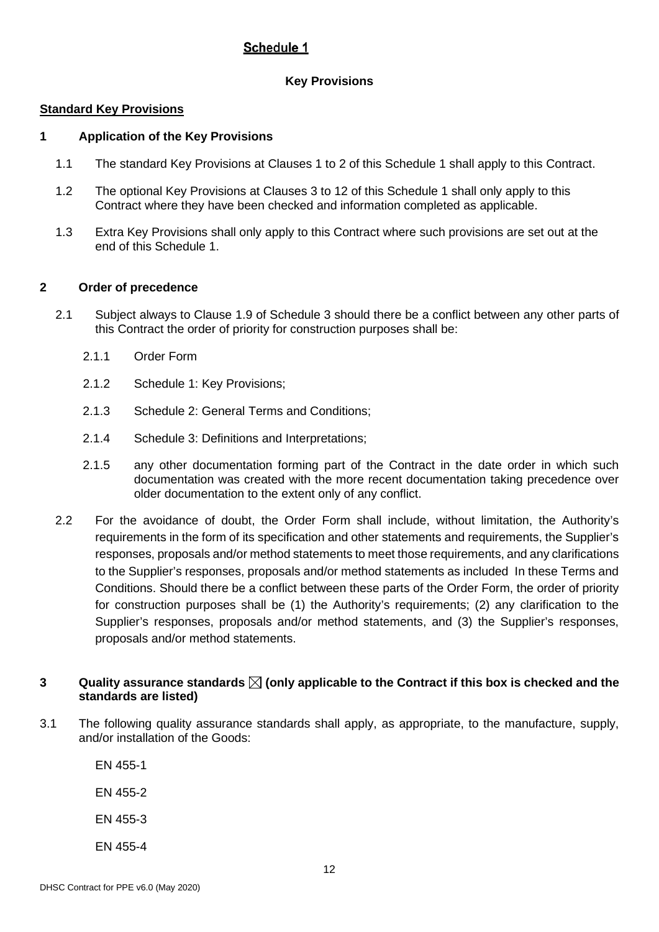# Schedule 1

# **Key Provisions**

### **Standard Key Provisions**

### **1 Application of the Key Provisions**

- 1.1 The standard Key Provisions at Clauses 1 to 2 of this Schedule 1 shall apply to this Contract.
- 1.2 The optional Key Provisions at Clauses 3 to 12 of this Schedule 1 shall only apply to this Contract where they have been checked and information completed as applicable.
- 1.3 Extra Key Provisions shall only apply to this Contract where such provisions are set out at the end of this Schedule 1.

## **2 Order of precedence**

- 2.1 Subject always to Clause 1.9 of Schedule 3 should there be a conflict between any other parts of this Contract the order of priority for construction purposes shall be:
	- 2.1.1 Order Form
	- 2.1.2 Schedule 1: Key Provisions;
	- 2.1.3 Schedule 2: General Terms and Conditions;
	- 2.1.4 Schedule 3: Definitions and Interpretations;
	- 2.1.5 any other documentation forming part of the Contract in the date order in which such documentation was created with the more recent documentation taking precedence over older documentation to the extent only of any conflict.
- 2.2 For the avoidance of doubt, the Order Form shall include, without limitation, the Authority's requirements in the form of its specification and other statements and requirements, the Supplier's responses, proposals and/or method statements to meet those requirements, and any clarifications to the Supplier's responses, proposals and/or method statements as included In these Terms and Conditions. Should there be a conflict between these parts of the Order Form, the order of priority for construction purposes shall be (1) the Authority's requirements; (2) any clarification to the Supplier's responses, proposals and/or method statements, and (3) the Supplier's responses, proposals and/or method statements.

### **3 Quality assurance standards (only applicable to the Contract if this box is checked and the standards are listed)**

3.1 The following quality assurance standards shall apply, as appropriate, to the manufacture, supply, and/or installation of the Goods:

EN 455-1

EN 455-2

- EN 455-3
- EN 455-4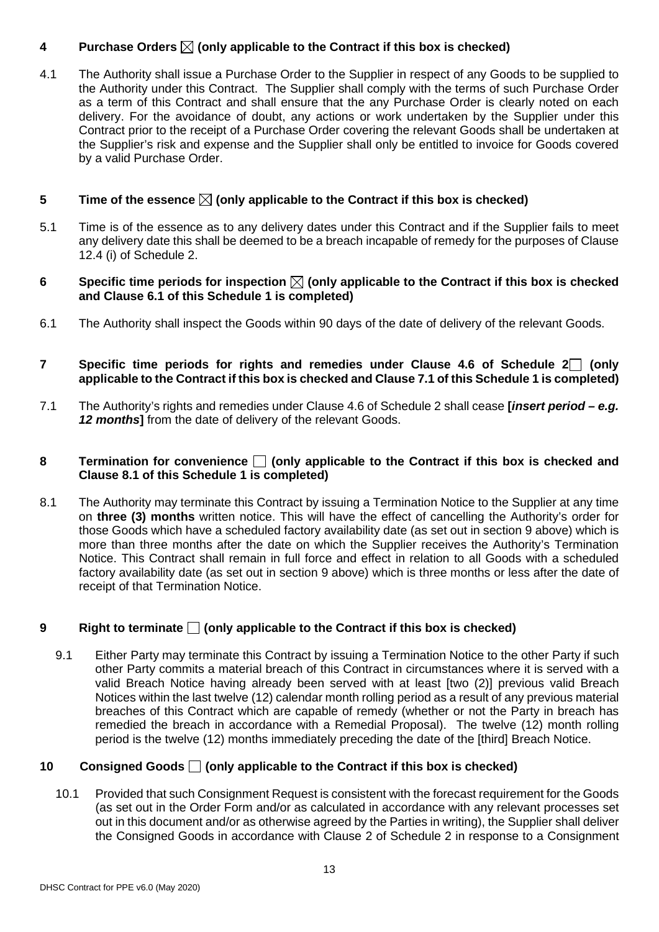# **4** Purchase Orders  $\boxtimes$  (only applicable to the Contract if this box is checked)

4.1 The Authority shall issue a Purchase Order to the Supplier in respect of any Goods to be supplied to the Authority under this Contract. The Supplier shall comply with the terms of such Purchase Order as a term of this Contract and shall ensure that the any Purchase Order is clearly noted on each delivery. For the avoidance of doubt, any actions or work undertaken by the Supplier under this Contract prior to the receipt of a Purchase Order covering the relevant Goods shall be undertaken at the Supplier's risk and expense and the Supplier shall only be entitled to invoice for Goods covered by a valid Purchase Order.

## **5 Time of the essence**  $\boxtimes$  (only applicable to the Contract if this box is checked)

5.1 Time is of the essence as to any delivery dates under this Contract and if the Supplier fails to meet any delivery date this shall be deemed to be a breach incapable of remedy for the purposes of Clause 12.4 (i) of Schedule 2.

### **6** Specific time periods for inspection  $\boxtimes$  (only applicable to the Contract if this box is checked **and Clause 6.1 of this Schedule 1 is completed)**

- 6.1 The Authority shall inspect the Goods within 90 days of the date of delivery of the relevant Goods.
- **7 Specific time periods for rights and remedies under Clause 4.6 of Schedule 2 (only applicable to the Contract if this box is checked and Clause 7.1 of this Schedule 1 is completed)**
- 7.1 The Authority's rights and remedies under Clause 4.6 of Schedule 2 shall cease **[***insert period – e.g. 12 months***]** from the date of delivery of the relevant Goods.

### **8 Termination for convenience**  $\Box$  (only applicable to the Contract if this box is checked and **Clause 8.1 of this Schedule 1 is completed)**

8.1 The Authority may terminate this Contract by issuing a Termination Notice to the Supplier at any time on **three (3) months** written notice. This will have the effect of cancelling the Authority's order for those Goods which have a scheduled factory availability date (as set out in section 9 above) which is more than three months after the date on which the Supplier receives the Authority's Termination Notice. This Contract shall remain in full force and effect in relation to all Goods with a scheduled factory availability date (as set out in section 9 above) which is three months or less after the date of receipt of that Termination Notice.

# **9 Right to terminate**  $\Box$  (only applicable to the Contract if this box is checked)

9.1 Either Party may terminate this Contract by issuing a Termination Notice to the other Party if such other Party commits a material breach of this Contract in circumstances where it is served with a valid Breach Notice having already been served with at least [two (2)] previous valid Breach Notices within the last twelve (12) calendar month rolling period as a result of any previous material breaches of this Contract which are capable of remedy (whether or not the Party in breach has remedied the breach in accordance with a Remedial Proposal). The twelve (12) month rolling period is the twelve (12) months immediately preceding the date of the [third] Breach Notice.

### **10 Consigned Goods**  $\Box$  (only applicable to the Contract if this box is checked)

10.1 Provided that such Consignment Request is consistent with the forecast requirement for the Goods (as set out in the Order Form and/or as calculated in accordance with any relevant processes set out in this document and/or as otherwise agreed by the Parties in writing), the Supplier shall deliver the Consigned Goods in accordance with Clause 2 of Schedule 2 in response to a Consignment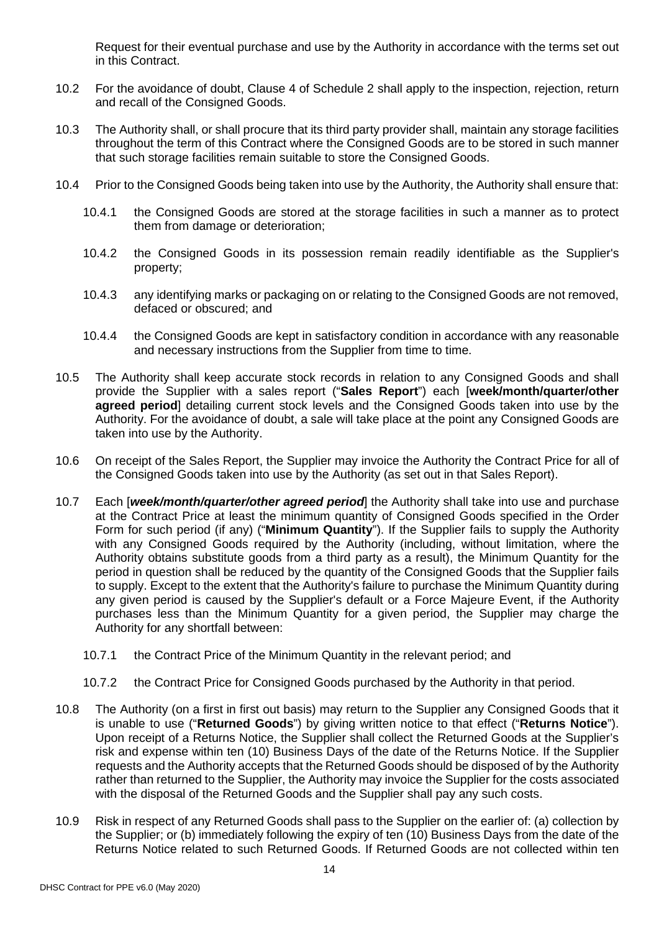Request for their eventual purchase and use by the Authority in accordance with the terms set out in this Contract.

- 10.2 For the avoidance of doubt, Clause 4 of Schedule 2 shall apply to the inspection, rejection, return and recall of the Consigned Goods.
- 10.3 The Authority shall, or shall procure that its third party provider shall, maintain any storage facilities throughout the term of this Contract where the Consigned Goods are to be stored in such manner that such storage facilities remain suitable to store the Consigned Goods.
- 10.4 Prior to the Consigned Goods being taken into use by the Authority, the Authority shall ensure that:
	- 10.4.1 the Consigned Goods are stored at the storage facilities in such a manner as to protect them from damage or deterioration;
	- 10.4.2 the Consigned Goods in its possession remain readily identifiable as the Supplier's property;
	- 10.4.3 any identifying marks or packaging on or relating to the Consigned Goods are not removed, defaced or obscured; and
	- 10.4.4 the Consigned Goods are kept in satisfactory condition in accordance with any reasonable and necessary instructions from the Supplier from time to time.
- 10.5 The Authority shall keep accurate stock records in relation to any Consigned Goods and shall provide the Supplier with a sales report ("**Sales Report**") each [**week/month/quarter/other agreed period**] detailing current stock levels and the Consigned Goods taken into use by the Authority. For the avoidance of doubt, a sale will take place at the point any Consigned Goods are taken into use by the Authority.
- 10.6 On receipt of the Sales Report, the Supplier may invoice the Authority the Contract Price for all of the Consigned Goods taken into use by the Authority (as set out in that Sales Report).
- 10.7 Each [*week/month/quarter/other agreed period*] the Authority shall take into use and purchase at the Contract Price at least the minimum quantity of Consigned Goods specified in the Order Form for such period (if any) ("**Minimum Quantity**"). If the Supplier fails to supply the Authority with any Consigned Goods required by the Authority (including, without limitation, where the Authority obtains substitute goods from a third party as a result), the Minimum Quantity for the period in question shall be reduced by the quantity of the Consigned Goods that the Supplier fails to supply. Except to the extent that the Authority's failure to purchase the Minimum Quantity during any given period is caused by the Supplier's default or a Force Majeure Event, if the Authority purchases less than the Minimum Quantity for a given period, the Supplier may charge the Authority for any shortfall between:
	- 10.7.1 the Contract Price of the Minimum Quantity in the relevant period; and
	- 10.7.2 the Contract Price for Consigned Goods purchased by the Authority in that period.
- 10.8 The Authority (on a first in first out basis) may return to the Supplier any Consigned Goods that it is unable to use ("**Returned Goods**") by giving written notice to that effect ("**Returns Notice**"). Upon receipt of a Returns Notice, the Supplier shall collect the Returned Goods at the Supplier's risk and expense within ten (10) Business Days of the date of the Returns Notice. If the Supplier requests and the Authority accepts that the Returned Goods should be disposed of by the Authority rather than returned to the Supplier, the Authority may invoice the Supplier for the costs associated with the disposal of the Returned Goods and the Supplier shall pay any such costs.
- 10.9 Risk in respect of any Returned Goods shall pass to the Supplier on the earlier of: (a) collection by the Supplier; or (b) immediately following the expiry of ten (10) Business Days from the date of the Returns Notice related to such Returned Goods. If Returned Goods are not collected within ten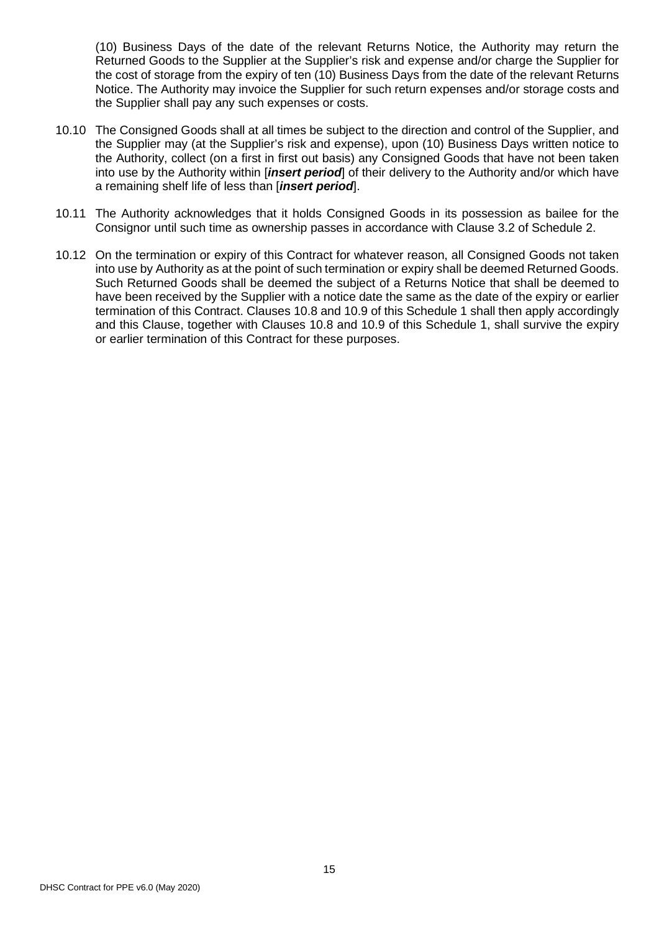(10) Business Days of the date of the relevant Returns Notice, the Authority may return the Returned Goods to the Supplier at the Supplier's risk and expense and/or charge the Supplier for the cost of storage from the expiry of ten (10) Business Days from the date of the relevant Returns Notice. The Authority may invoice the Supplier for such return expenses and/or storage costs and the Supplier shall pay any such expenses or costs.

- 10.10 The Consigned Goods shall at all times be subject to the direction and control of the Supplier, and the Supplier may (at the Supplier's risk and expense), upon (10) Business Days written notice to the Authority, collect (on a first in first out basis) any Consigned Goods that have not been taken into use by the Authority within [*insert period*] of their delivery to the Authority and/or which have a remaining shelf life of less than [*insert period*].
- 10.11 The Authority acknowledges that it holds Consigned Goods in its possession as bailee for the Consignor until such time as ownership passes in accordance with Clause 3.2 of Schedule 2.
- 10.12 On the termination or expiry of this Contract for whatever reason, all Consigned Goods not taken into use by Authority as at the point of such termination or expiry shall be deemed Returned Goods. Such Returned Goods shall be deemed the subject of a Returns Notice that shall be deemed to have been received by the Supplier with a notice date the same as the date of the expiry or earlier termination of this Contract. Clauses 10.8 and 10.9 of this Schedule 1 shall then apply accordingly and this Clause, together with Clauses 10.8 and 10.9 of this Schedule 1, shall survive the expiry or earlier termination of this Contract for these purposes.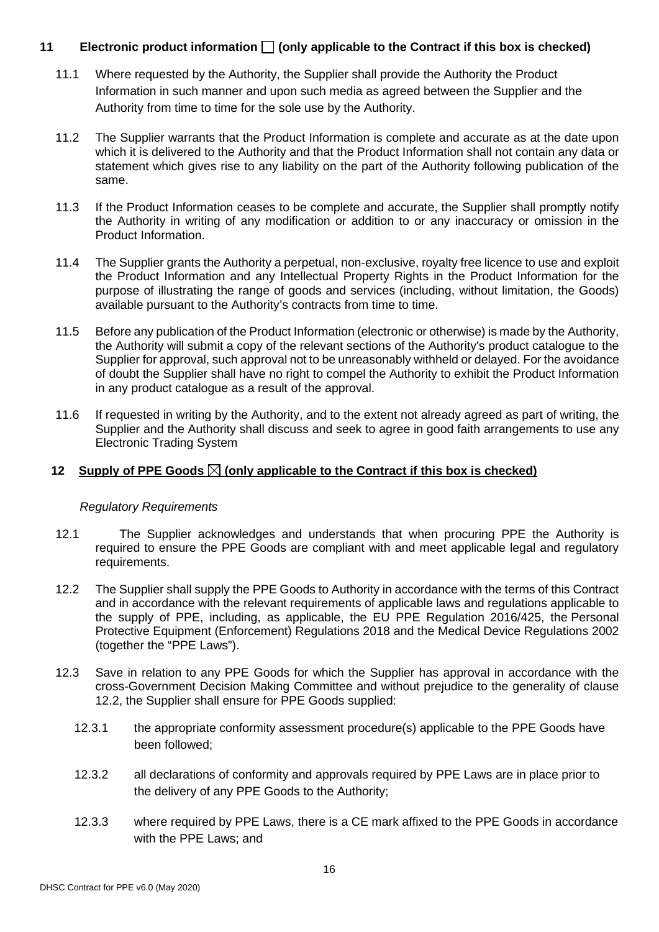### **11 Electronic product information (only applicable to the Contract if this box is checked)**

- 11.1 Where requested by the Authority, the Supplier shall provide the Authority the Product Information in such manner and upon such media as agreed between the Supplier and the Authority from time to time for the sole use by the Authority.
- 11.2 The Supplier warrants that the Product Information is complete and accurate as at the date upon which it is delivered to the Authority and that the Product Information shall not contain any data or statement which gives rise to any liability on the part of the Authority following publication of the same.
- 11.3 If the Product Information ceases to be complete and accurate, the Supplier shall promptly notify the Authority in writing of any modification or addition to or any inaccuracy or omission in the Product Information.
- 11.4 The Supplier grants the Authority a perpetual, non-exclusive, royalty free licence to use and exploit the Product Information and any Intellectual Property Rights in the Product Information for the purpose of illustrating the range of goods and services (including, without limitation, the Goods) available pursuant to the Authority's contracts from time to time.
- 11.5 Before any publication of the Product Information (electronic or otherwise) is made by the Authority, the Authority will submit a copy of the relevant sections of the Authority's product catalogue to the Supplier for approval, such approval not to be unreasonably withheld or delayed. For the avoidance of doubt the Supplier shall have no right to compel the Authority to exhibit the Product Information in any product catalogue as a result of the approval.
- 11.6 If requested in writing by the Authority, and to the extent not already agreed as part of writing, the Supplier and the Authority shall discuss and seek to agree in good faith arrangements to use any Electronic Trading System

### **12** Supply of PPE Goods  $\boxtimes$  (only applicable to the Contract if this box is checked)

### *Regulatory Requirements*

- 12.1 The Supplier acknowledges and understands that when procuring PPE the Authority is required to ensure the PPE Goods are compliant with and meet applicable legal and regulatory requirements.
- 12.2 The Supplier shall supply the PPE Goods to Authority in accordance with the terms of this Contract and in accordance with the relevant requirements of applicable laws and regulations applicable to the supply of PPE, including, as applicable, the EU PPE Regulation 2016/425, the Personal Protective Equipment (Enforcement) Regulations 2018 and the Medical Device Regulations 2002 (together the "PPE Laws").
- 12.3 Save in relation to any PPE Goods for which the Supplier has approval in accordance with the cross-Government Decision Making Committee and without prejudice to the generality of clause 12.2, the Supplier shall ensure for PPE Goods supplied:
	- 12.3.1 the appropriate conformity assessment procedure(s) applicable to the PPE Goods have been followed;
	- 12.3.2 all declarations of conformity and approvals required by PPE Laws are in place prior to the delivery of any PPE Goods to the Authority;
	- 12.3.3 where required by PPE Laws, there is a CE mark affixed to the PPE Goods in accordance with the PPE Laws; and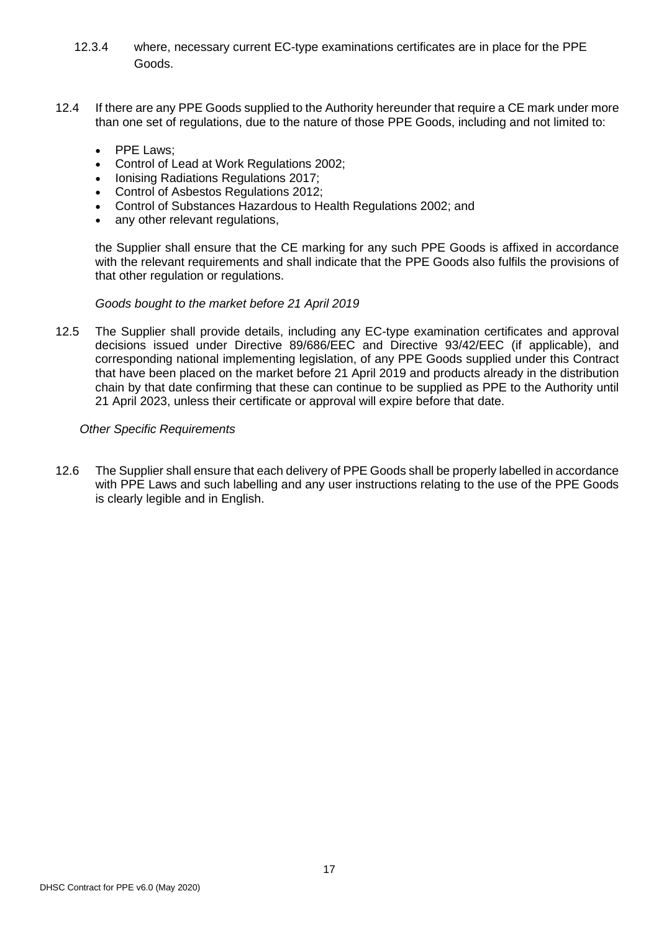- 12.3.4 where, necessary current EC-type examinations certificates are in place for the PPE Goods.
- 12.4 If there are any PPE Goods supplied to the Authority hereunder that require a CE mark under more than one set of regulations, due to the nature of those PPE Goods, including and not limited to:
	- PPE Laws;
	- Control of Lead at Work Regulations 2002;
	- Ionising Radiations Regulations 2017;
	- Control of Asbestos Regulations 2012;
	- Control of Substances Hazardous to Health Regulations 2002; and
	- any other relevant regulations,

the Supplier shall ensure that the CE marking for any such PPE Goods is affixed in accordance with the relevant requirements and shall indicate that the PPE Goods also fulfils the provisions of that other regulation or regulations.

#### *Goods bought to the market before 21 April 2019*

12.5 The Supplier shall provide details, including any EC-type examination certificates and approval decisions issued under Directive 89/686/EEC and Directive 93/42/EEC (if applicable), and corresponding national implementing legislation, of any PPE Goods supplied under this Contract that have been placed on the market before 21 April 2019 and products already in the distribution chain by that date confirming that these can continue to be supplied as PPE to the Authority until 21 April 2023, unless their certificate or approval will expire before that date.

#### *Other Specific Requirements*

12.6 The Supplier shall ensure that each delivery of PPE Goods shall be properly labelled in accordance with PPE Laws and such labelling and any user instructions relating to the use of the PPE Goods is clearly legible and in English.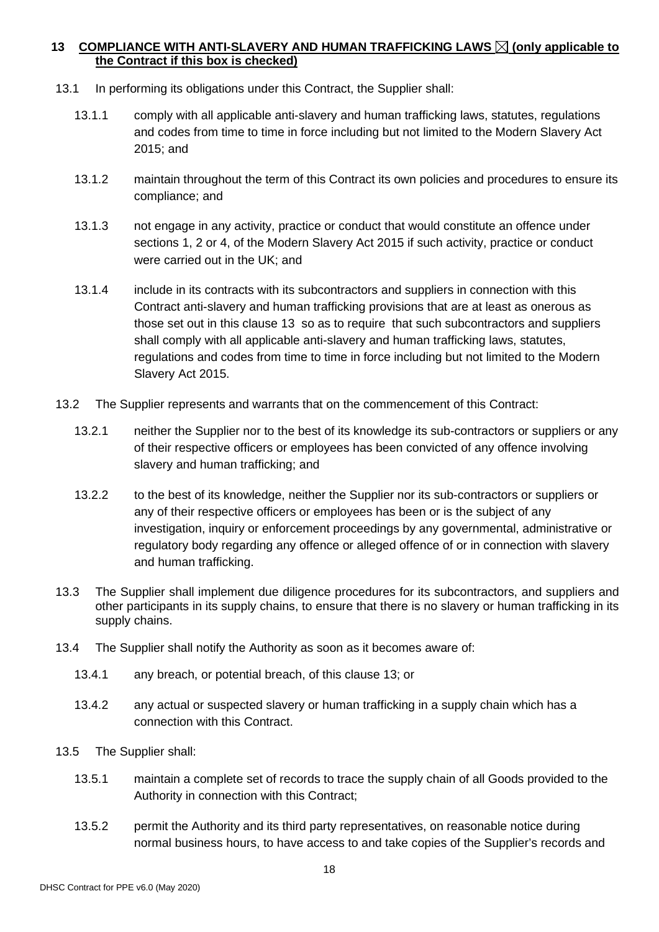## **13 COMPLIANCE WITH ANTI-SLAVERY AND HUMAN TRAFFICKING LAWS (only applicable to the Contract if this box is checked)**

- 13.1 In performing its obligations under this Contract, the Supplier shall:
	- 13.1.1 comply with all applicable anti-slavery and human trafficking laws, statutes, regulations and codes from time to time in force including but not limited to the Modern Slavery Act 2015; and
	- 13.1.2 maintain throughout the term of this Contract its own policies and procedures to ensure its compliance; and
	- 13.1.3 not engage in any activity, practice or conduct that would constitute an offence under sections 1, 2 or 4, of the Modern Slavery Act 2015 if such activity, practice or conduct were carried out in the UK; and
	- 13.1.4 include in its contracts with its subcontractors and suppliers in connection with this Contract anti-slavery and human trafficking provisions that are at least as onerous as those set out in this clause 13 so as to require that such subcontractors and suppliers shall comply with all applicable anti-slavery and human trafficking laws, statutes, regulations and codes from time to time in force including but not limited to the Modern Slavery Act 2015.
- 13.2 The Supplier represents and warrants that on the commencement of this Contract:
	- 13.2.1 neither the Supplier nor to the best of its knowledge its sub-contractors or suppliers or any of their respective officers or employees has been convicted of any offence involving slavery and human trafficking; and
	- 13.2.2 to the best of its knowledge, neither the Supplier nor its sub-contractors or suppliers or any of their respective officers or employees has been or is the subject of any investigation, inquiry or enforcement proceedings by any governmental, administrative or regulatory body regarding any offence or alleged offence of or in connection with slavery and human trafficking.
- 13.3 The Supplier shall implement due diligence procedures for its subcontractors, and suppliers and other participants in its supply chains, to ensure that there is no slavery or human trafficking in its supply chains.
- 13.4 The Supplier shall notify the Authority as soon as it becomes aware of:
	- 13.4.1 any breach, or potential breach, of this clause 13; or
	- 13.4.2 any actual or suspected slavery or human trafficking in a supply chain which has a connection with this Contract.
- 13.5 The Supplier shall:
	- 13.5.1 maintain a complete set of records to trace the supply chain of all Goods provided to the Authority in connection with this Contract;
	- 13.5.2 permit the Authority and its third party representatives, on reasonable notice during normal business hours, to have access to and take copies of the Supplier's records and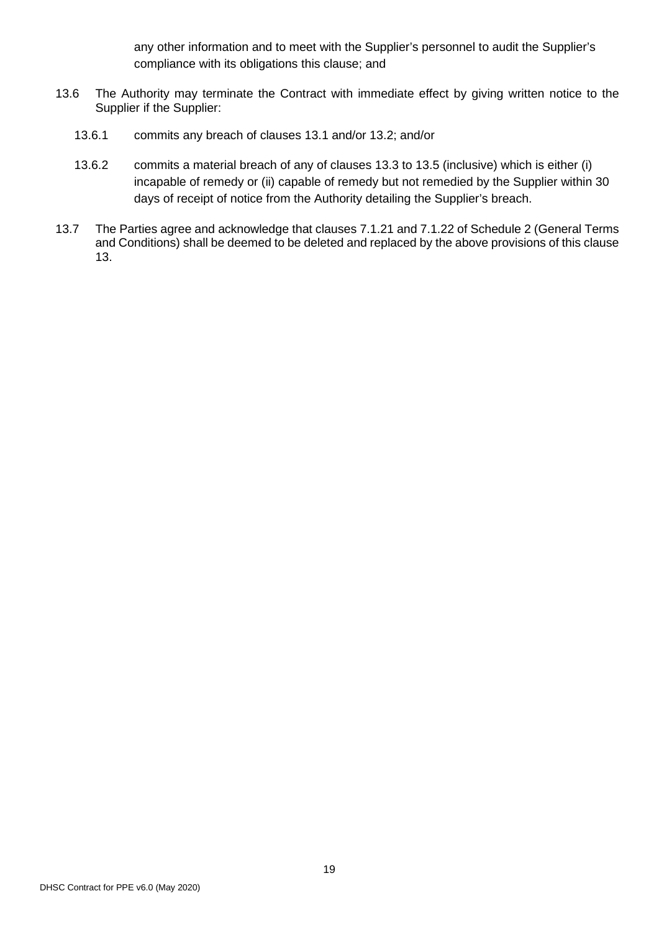any other information and to meet with the Supplier's personnel to audit the Supplier's compliance with its obligations this clause; and

- 13.6 The Authority may terminate the Contract with immediate effect by giving written notice to the Supplier if the Supplier:
	- 13.6.1 commits any breach of clauses 13.1 and/or 13.2; and/or
	- 13.6.2 commits a material breach of any of clauses 13.3 to 13.5 (inclusive) which is either (i) incapable of remedy or (ii) capable of remedy but not remedied by the Supplier within 30 days of receipt of notice from the Authority detailing the Supplier's breach.
- 13.7 The Parties agree and acknowledge that clauses 7.1.21 and 7.1.22 of Schedule 2 (General Terms and Conditions) shall be deemed to be deleted and replaced by the above provisions of this clause 13.